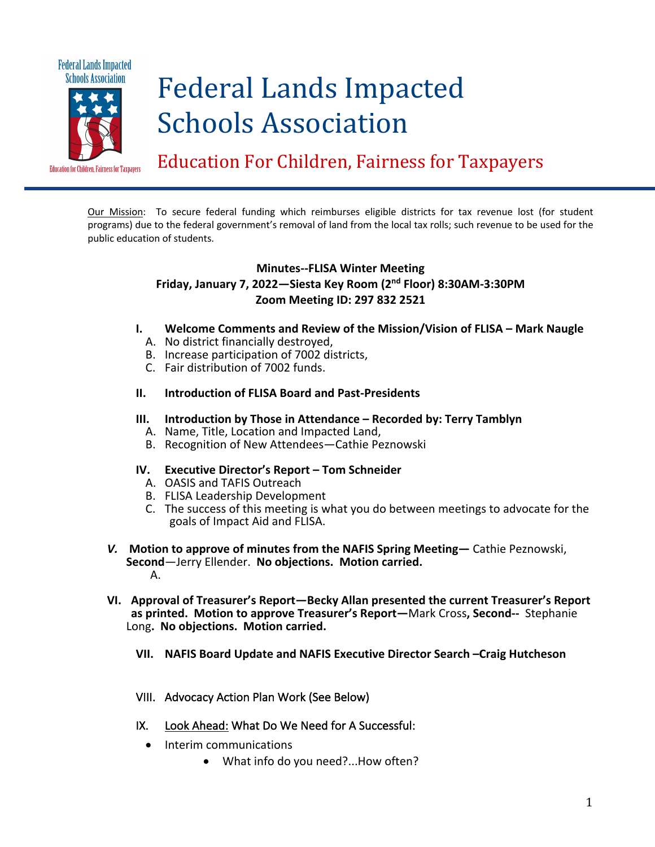

# Federal Lands Impacted Schools Association

Education For Children, Fairness for Taxpayers

Our Mission: To secure federal funding which reimburses eligible districts for tax revenue lost (for student programs) due to the federal government's removal of land from the local tax rolls; such revenue to be used for the public education of students.

## **Minutes--FLISA Winter Meeting Friday, January 7, 2022—Siesta Key Room (2nd Floor) 8:30AM-3:30PM Zoom Meeting ID: 297 832 2521**

- **I. Welcome Comments and Review of the Mission/Vision of FLISA – Mark Naugle**
	- A. No district financially destroyed,
	- B. Increase participation of 7002 districts,
	- C. Fair distribution of 7002 funds.

#### **II. Introduction of FLISA Board and Past-Presidents**

- **III. Introduction by Those in Attendance – Recorded by: Terry Tamblyn**
	- A. Name, Title, Location and Impacted Land,
	- B. Recognition of New Attendees—Cathie Peznowski

#### **IV. Executive Director's Report – Tom Schneider**

- A. OASIS and TAFIS Outreach
- B. FLISA Leadership Development
- C. The success of this meeting is what you do between meetings to advocate for the goals of Impact Aid and FLISA.
- *V.* **Motion to approve of minutes from the NAFIS Spring Meeting—** Cathie Peznowski, **Second**—Jerry Ellender. **No objections. Motion carried.** A.
- **VI. Approval of Treasurer's Report—Becky Allan presented the current Treasurer's Report as printed. Motion to approve Treasurer's Report—**Mark Cross**, Second--** Stephanie Long**. No objections. Motion carried.**
	- **VII. NAFIS Board Update and NAFIS Executive Director Search –Craig Hutcheson**
	- VIII. Advocacy Action Plan Work (See Below)
	- IX. Look Ahead: What Do We Need for A Successful:
		- Interim communications
			- What info do you need?...How often?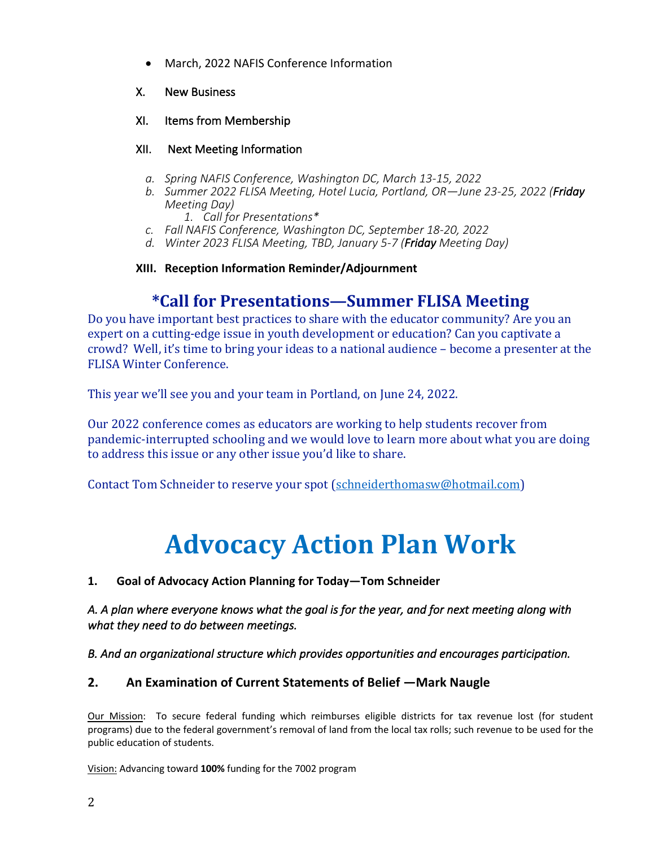• March, 2022 NAFIS Conference Information

## X. New Business

## XI. Items from Membership

## XII. Next Meeting Information

- *a. Spring NAFIS Conference, Washington DC, March 13-15, 2022*
- *b. Summer 2022 FLISA Meeting, Hotel Lucia, Portland, OR—June 23-25, 2022 (Friday Meeting Day)*

*1. Call for Presentations\**

- *c. Fall NAFIS Conference, Washington DC, September 18-20, 2022*
- *d. Winter 2023 FLISA Meeting, TBD, January 5-7 (Friday Meeting Day)*

## **XIII. Reception Information Reminder/Adjournment**

## **\*Call for Presentations—Summer FLISA Meeting**

Do you have important best practices to share with the educator community? Are you an expert on a cutting-edge issue in youth development or education? Can you captivate a crowd? Well, it's time to bring your ideas to a national audience – become a presenter at the FLISA Winter Conference.

This year we'll see you and your team in Portland, on June 24, 2022.

Our 2022 conference comes as educators are working to help students recover from pandemic-interrupted schooling and we would love to learn more about what you are doing to address this issue or any other issue you'd like to share.

Contact Tom Schneider to reserve your spot (schneiderthomasw@hotmail.com)

## **Advocacy Action Plan Work**

**1. Goal of Advocacy Action Planning for Today—Tom Schneider**

*A. A plan where everyone knows what the goal is for the year, and for next meeting along with what they need to do between meetings.* 

*B. And an organizational structure which provides opportunities and encourages participation.* 

## **2. An Examination of Current Statements of Belief —Mark Naugle**

Our Mission: To secure federal funding which reimburses eligible districts for tax revenue lost (for student programs) due to the federal government's removal of land from the local tax rolls; such revenue to be used for the public education of students.

Vision: Advancing toward **100%** funding for the 7002 program